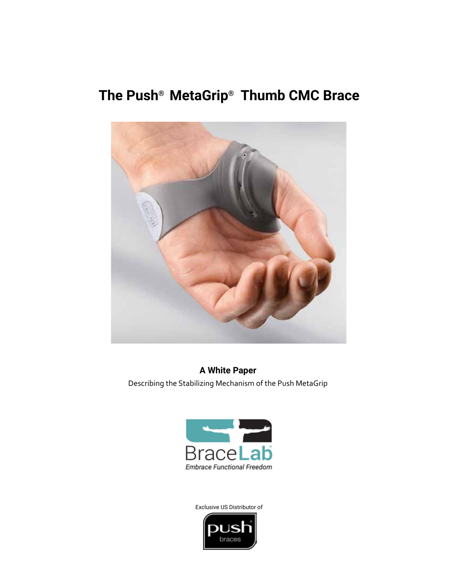# **The Push® MetaGrip® Thumb CMC Brace**



**A White Paper** Describing the Stabilizing Mechanism of the Push MetaGrip



Exclusive US Distributor of

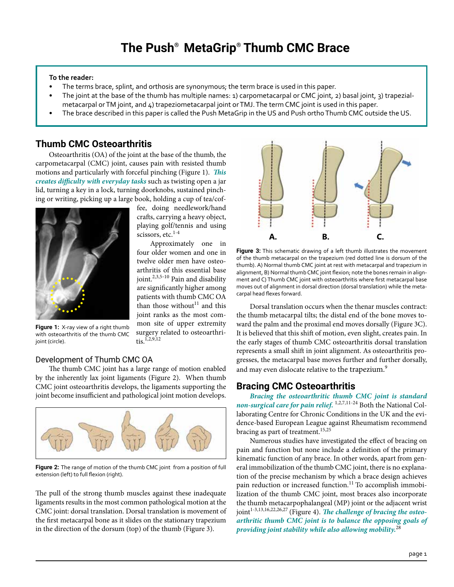## **To the reader:**

- The terms brace, splint, and orthosis are synonymous; the term brace is used in this paper.
- The joint at the base of the thumb has multiple names: 1) carpometacarpal or CMC joint, 2) basal joint, 3) trapezialmetacarpal or TM joint, and 4) trapeziometacarpal joint or TMJ. The term CMC joint is used in this paper.
- The brace described in this paper is called the Push MetaGrip in the US and Push ortho Thumb CMC outside the US.

# **Thumb CMC Osteoarthritis**

Osteoarthritis (OA) of the joint at the base of the thumb, the carpometacarpal (CMC) joint, causes pain with resisted thumb motions and particularly with forceful pinching (Figure 1). *This creates difficulty with everyday tasks* such as twisting open a jar lid, turning a key in a lock, turning doorknobs, sustained pinching or writing, picking up a large book, holding a cup of tea/cof-



fee, doing needlework/hand crafts, carrying a heavy object, playing golf/tennis and using scissors, etc.<sup>1-4</sup>

Approximately one in four older women and one in twelve older men have osteoarthritis of this essential base joint.<sup>2,3,5-10</sup> Pain and disability are significantly higher among patients with thumb CMC OA than those without $11$  and this joint ranks as the most common site of upper extremity surgery related to osteoarthri $t$ is.<sup>1,2,9,12</sup>

**Figure 1:** X-ray view of a right thumb with osteoarthritis of the thumb CMC joint (circle).

## Development of Thumb CMC OA

The thumb CMC joint has a large range of motion enabled by the inherently lax joint ligaments (Figure 2). When thumb CMC joint osteoarthritis develops, the ligaments supporting the joint become insufficient and pathological joint motion develops.



**Figure 2:** The range of motion of the thumb CMC joint from a position of full extension (left) to full flexion (right).

The pull of the strong thumb muscles against these inadequate ligaments results in the most common pathological motion at the CMC joint: dorsal translation. Dorsal translation is movement of the first metacarpal bone as it slides on the stationary trapezium in the direction of the dorsum (top) of the thumb (Figure 3).



**Figure 3:** This schematic drawing of a left thumb illustrates the movement of the thumb metacarpal on the trapezium (red dotted line is dorsum of the thumb). A) Normal thumb CMC joint at rest with metacarpal and trapezium in alignment, B) Normal thumb CMC joint flexion; note the bones remain in alignment and C) Thumb CMC joint with osteoarthritis where first metacarpal base moves out of alignment in dorsal direction (dorsal translation) while the metacarpal head flexes forward.

Dorsal translation occurs when the thenar muscles contract: the thumb metacarpal tilts; the distal end of the bone moves toward the palm and the proximal end moves dorsally (Figure 3C). It is believed that this shift of motion, even slight, creates pain. In the early stages of thumb CMC osteoarthritis dorsal translation represents a small shift in joint alignment. As osteoarthritis progresses, the metacarpal base moves further and further dorsally, and may even dislocate relative to the trapezium.<sup>9</sup>

# **Bracing CMC Osteoarthritis**

*Bracing the osteoarthritic thumb CMC joint is standard non-surgical care for pain relief.* 1,2,7,11-24 Both the National Collaborating Centre for Chronic Conditions in the UK and the evidence-based European League against Rheumatism recommend bracing as part of treatment.<sup>15,25</sup>

Numerous studies have investigated the effect of bracing on pain and function but none include a definition of the primary kinematic function of any brace. In other words, apart from general immobilization of the thumb CMC joint, there is no explanation of the precise mechanism by which a brace design achieves pain reduction or increased function.<sup>11</sup> To accomplish immobilization of the thumb CMC joint, most braces also incorporate the thumb metacarpophalangeal (MP) joint or the adjacent wrist ioint<sup>1-3,13,16,22,26,27</sup> (Figure 4). *The challenge of bracing the osteoarthritic thumb CMC joint is to balance the opposing goals of providing joint stability while also allowing mobility.*<sup>28</sup>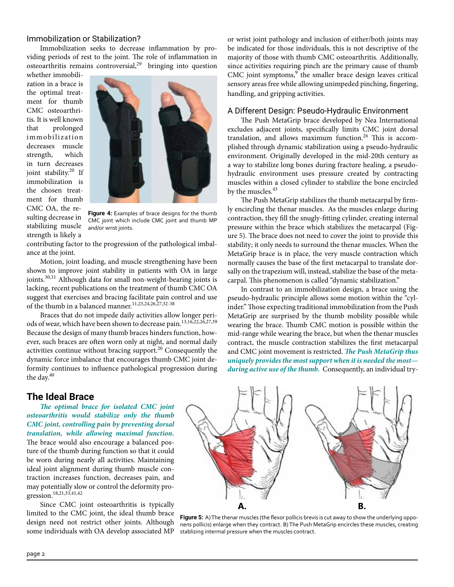## Immobilization or Stabilization?

Immobilization seeks to decrease inflammation by providing periods of rest to the joint. The role of inflammation in  $osteoarthritis remains controversial,<sup>29</sup> bringing into question$ 

whether immobilization in a brace is the optimal treatment for thumb CMC osteoarthritis. It is well known that prolonged immobilization decreases muscle strength, which in turn decreases joint stability.<sup>20</sup> If immobilization is the chosen treatment for thumb CMC OA, the resulting decrease in stabilizing muscle strength is likely a



**Figure 4:** Examples of brace designs for the thumb CMC joint which include CMC joint and thumb MP and/or wrist joints.

contributing factor to the progression of the pathological imbalance at the joint.

Motion, joint loading, and muscle strengthening have been shown to improve joint stability in patients with OA in large joints.<sup>30,31</sup> Although data for small non-weight-bearing joints is lacking, recent publications on the treatment of thumb CMC OA suggest that exercises and bracing facilitate pain control and use of the thumb in a balanced manner.<sup>11,23,24,26,27,32-38</sup>

Braces that do not impede daily activities allow longer periods of wear, which have been shown to decrease pain.<sup>13,16,22,26,27,39</sup> Because the design of many thumb braces hinders function, however, such braces are often worn only at night, and normal daily activities continue without bracing support.20 Consequently the dynamic force imbalance that encourages thumb CMC joint deformity continues to influence pathological progression during the day.<sup>40</sup>

or wrist joint pathology and inclusion of either/both joints may be indicated for those individuals, this is not descriptive of the majority of those with thumb CMC osteoarthritis. Additionally, since activities requiring pinch are the primary cause of thumb CMC joint symptoms,<sup>9</sup> the smaller brace design leaves critical sensory areas free while allowing unimpeded pinching, fingering, handling, and gripping activities.

### A Different Design: Pseudo-Hydraulic Environment

The Push MetaGrip brace developed by Nea International excludes adjacent joints, specifically limits CMC joint dorsal translation, and allows maximum function.<sup>26</sup> This is accomplished through dynamic stabilization using a pseudo-hydraulic environment. Originally developed in the mid-20th century as a way to stabilize long bones during fracture healing, a pseudohydraulic environment uses pressure created by contracting muscles within a closed cylinder to stabilize the bone encircled by the muscles.<sup>43</sup>

The Push MetaGrip stabilizes the thumb metacarpal by firmly encircling the thenar muscles. As the muscles enlarge during contraction, they fill the snugly-fitting cylinder, creating internal pressure within the brace which stabilizes the metacarpal (Figure 5). The brace does not need to cover the joint to provide this stability; it only needs to surround the thenar muscles. When the MetaGrip brace is in place, the very muscle contraction which normally causes the base of the first metacarpal to translate dorsally on the trapezium will, instead, stabilize the base of the metacarpal. This phenomenon is called "dynamic stabilization."

In contrast to an immobilization design, a brace using the pseudo-hydraulic principle allows some motion within the "cylinder." Those expecting traditional immobilization from the Push MetaGrip are surprised by the thumb mobility possible while wearing the brace. Thumb CMC motion is possible within the mid-range while wearing the brace, but when the thenar muscles contract, the muscle contraction stabilizes the first metacarpal and CMC joint movement is restricted. *The Push MetaGrip thus uniquely provides the most support when it is needed the most during active use of the thumb.* Consequently, an individual try-

## **The Ideal Brace**

*The optimal brace for isolated CMC joint osteoarthritis would stabilize only the thumb CMC joint, controlling pain by preventing dorsal translation, while allowing maximal function.* The brace would also encourage a balanced posture of the thumb during function so that it could be worn during nearly all activities. Maintaining ideal joint alignment during thumb muscle contraction increases function, decreases pain, and may potentially slow or control the deformity progression.<sup>18,21,33,41,42</sup>

Since CMC joint osteoarthritis is typically limited to the CMC joint, the ideal thumb brace design need not restrict other joints. Although some individuals with OA develop associated MP



Figure 5: A) The thenar muscles (the flexor pollicis brevis is cut away to show the underlying opponens pollicis) enlarge when they contract. B) The Push MetaGrip encircles these muscles, creating stablizing intermal pressure when the muscles contract.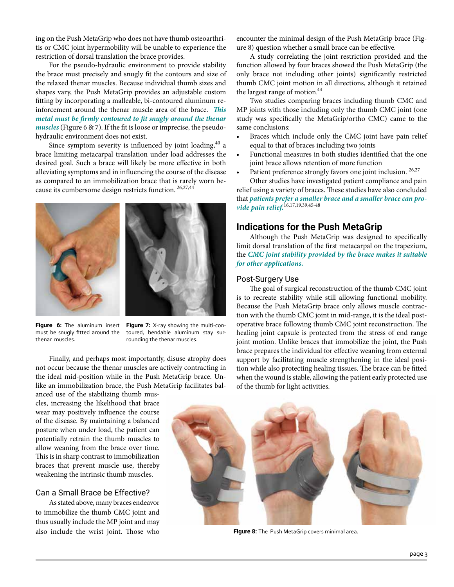ing on the Push MetaGrip who does not have thumb osteoarthritis or CMC joint hypermobility will be unable to experience the restriction of dorsal translation the brace provides.

For the pseudo-hydraulic environment to provide stability the brace must precisely and snugly fit the contours and size of the relaxed thenar muscles. Because individual thumb sizes and shapes vary, the Push MetaGrip provides an adjustable custom fitting by incorporating a malleable, bi-contoured aluminum reinforcement around the thenar muscle area of the brace. *This metal must be firmly contoured to fit snugly around the thenar muscles* (Figure 6 & 7). If the fit is loose or imprecise, the pseudohydraulic environment does not exist.

Since symptom severity is influenced by joint loading, $40$  a brace limiting metacarpal translation under load addresses the desired goal. Such a brace will likely be more effective in both alleviating symptoms and in influencing the course of the disease as compared to an immobilization brace that is rarely worn because its cumbersome design restricts function. 26,27,44





**Figure 6:** The aluminum insert must be snugly fitted around the thenar muscles.

**Figure 7:** X-ray showing the multi-contoured, bendable aluminum stay surrounding the thenar muscles.

Finally, and perhaps most importantly, disuse atrophy does not occur because the thenar muscles are actively contracting in the ideal mid-position while in the Push MetaGrip brace. Unlike an immobilization brace, the Push MetaGrip facilitates bal-

anced use of the stabilizing thumb muscles, increasing the likelihood that brace wear may positively influence the course of the disease. By maintaining a balanced posture when under load, the patient can potentially retrain the thumb muscles to allow weaning from the brace over time. This is in sharp contrast to immobilization braces that prevent muscle use, thereby weakening the intrinsic thumb muscles.

### Can a Small Brace be Effective?

As stated above, many braces endeavor to immobilize the thumb CMC joint and thus usually include the MP joint and may also include the wrist joint. Those who encounter the minimal design of the Push MetaGrip brace (Figure 8) question whether a small brace can be effective.

A study correlating the joint restriction provided and the function allowed by four braces showed the Push MetaGrip (the only brace not including other joints) significantly restricted thumb CMC joint motion in all directions, although it retained the largest range of motion.<sup>44</sup>

Two studies comparing braces including thumb CMC and MP joints with those including only the thumb CMC joint (one study was specifically the MetaGrip/ortho CMC) came to the same conclusions:

- Braces which include only the CMC joint have pain relief equal to that of braces including two joints
- Functional measures in both studies identified that the one joint brace allows retention of more function
- Patient preference strongly favors one joint inclusion. <sup>26,27</sup> Other studies have investigated patient compliance and pain

relief using a variety of braces. These studies have also concluded that *patients prefer a smaller brace and a smaller brace can provide pain relief.*16,17,19,39,45-48

# **Indications for the Push MetaGrip**

Although the Push MetaGrip was designed to specifically limit dorsal translation of the first metacarpal on the trapezium, the *CMC joint stability provided by the brace makes it suitable for other applications.*

## Post-Surgery Use

The goal of surgical reconstruction of the thumb CMC joint is to recreate stability while still allowing functional mobility. Because the Push MetaGrip brace only allows muscle contraction with the thumb CMC joint in mid-range, it is the ideal postoperative brace following thumb CMC joint reconstruction. The healing joint capsule is protected from the stress of end range joint motion. Unlike braces that immobilize the joint, the Push brace prepares the individual for effective weaning from external support by facilitating muscle strengthening in the ideal position while also protecting healing tissues. The brace can be fitted when the wound is stable, allowing the patient early protected use of the thumb for light activities.



**Figure 8:** The Push MetaGrip covers minimal area.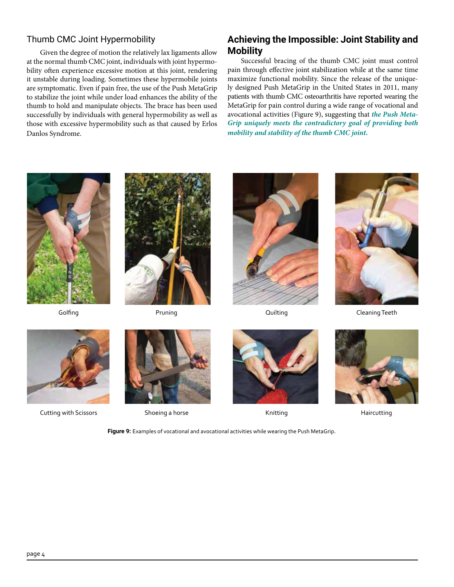# Thumb CMC Joint Hypermobility

Given the degree of motion the relatively lax ligaments allow at the normal thumb CMC joint, individuals with joint hypermobility often experience excessive motion at this joint, rendering it unstable during loading. Sometimes these hypermobile joints are symptomatic. Even if pain free, the use of the Push MetaGrip to stabilize the joint while under load enhances the ability of the thumb to hold and manipulate objects. The brace has been used successfully by individuals with general hypermobility as well as those with excessive hypermobility such as that caused by Erlos Danlos Syndrome.

# **Achieving the Impossible: Joint Stability and Mobility**

Successful bracing of the thumb CMC joint must control pain through effective joint stabilization while at the same time maximize functional mobility. Since the release of the uniquely designed Push MetaGrip in the United States in 2011, many patients with thumb CMC osteoarthritis have reported wearing the MetaGrip for pain control during a wide range of vocational and avocational activities (Figure 9), suggesting that *the Push Meta-Grip uniquely meets the contradictory goal of providing both mobility and stability of the thumb CMC joint.* 









Golfing **Cleaning Teeth** Pruning **Colfing Cleaning Teeth** Cleaning Teeth



Cutting with Scissors Shoeing a horse **Shoeing a horse Shoeing Americus** Knitting Haircutting







**Figure 9:** Examples of vocational and avocational activities while wearing the Push MetaGrip.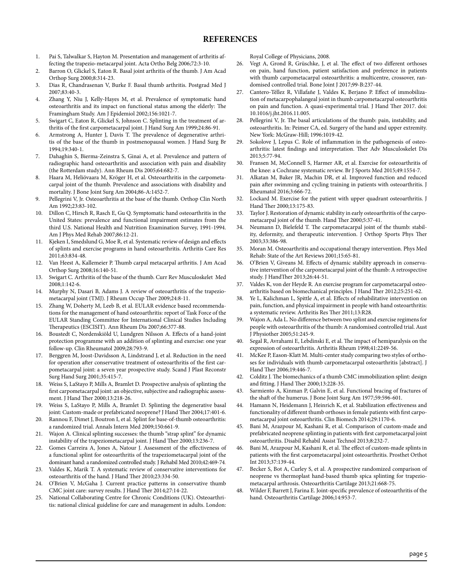### **REFERENCES**

- 1. Pai S, Talwalkar S, Hayton M. Presentation and management of arthritis affecting the trapezio-metacarpal joint. Acta Ortho Belg 2006;72:3-10.
- 2. Barron O, Glickel S, Eaton R. Basal joint arthritis of the thumb. J Am Acad Orthop Surg 2000;8:314-23.
- 3. Dias R, Chandrasenan V, Burke F. Basal thumb arthritis. Postgrad Med J 2007;83:40-3.
- 4. Zhang Y, Niu J, Kelly-Hayes M, et al. Prevalence of symptomatic hand osteoarthritis and its impact on functional status among the elderly: The Framingham Study. Am J Epidemiol 2002;156:1021-7.
- 5. Swigart C, Eaton R, Glickel S, Johnson C. Splinting in the treatment of arthritis of the first carpometacarpal joint. J Hand Surg Am 1999;24:86-91.
- 6. Armstrong A, Hunter J, Davis T. The prevalence of degenerative arthritis of the base of the thumb in postmenopausal women. J Hand Surg Br 1994;19:340-1.
- 7. Dahaghin S, Bierma-Zeinstra S, Ginai A, et al. Prevalence and pattern of radiographic hand osteoarthritis and association with pain and disability (the Rotterdam study). Ann Rheum Dis 2005;64:682-7.
- Haara M, Heliövaara M, Kröger H, et al. Osteoarthritis in the carpometacarpal joint of the thumb. Prevalence and associations with disability and mortality. J Bone Joint Surg Am 2004;86-A:1452-7.
- 9. Pellegrini V, Jr. Osteoarthritis at the base of the thumb. Orthop Clin North Am 1992;23:83-102.
- 10. Dillon C, Hirsch R, Rasch E, Gu Q. Symptomatic hand osteoarthritis in the United States: prevalence and functional impairment estimates from the third U.S. National Health and Nutrition Examination Survey, 1991-1994. Am J Phys Med Rehab 2007;86:12-21.
- 11. Kjeken I, Smedslund G, Moe R, et al. Systematic review of design and effects of splints and exercise programs in hand osteoarthritis. Arthritis Care Res 2011;63:834-48.
- 12. Van Heest A, Kallemeier P. Thumb carpal metacarpal arthritis. J Am Acad Orthop Surg 2008;16:140-51.
- 13. Swigart C. Arthritis of the base of the thumb. Curr Rev Musculoskelet Med 2008;1:142-6.
- 14. Murphy N, Dasari B, Adams J. A review of osteoarthritis of the trapeziometacarpal joint (TMJ). J Rheum Occup Ther 2009;24:8-11.
- 15. Zhang W, Doherty M, Leeb B, et al. EULAR evidence based recommendations for the management of hand osteoarthritis: report of Task Force of the EULAR Standing Committee for International Clinical Studies Including Therapeutics (ESCISIT). Ann Rheum Dis 2007;66:377-88.
- 16. Boustedt C, Nordenskiöld U, Lundgren Nilsson A. Effects of a hand-joint protection programme with an addition of splinting and exercise: one year follow-up. Clin Rheumatol 2009;28:793-9.
- 17. Berggren M, Joost-Davidsson A, Lindstrand J, et al. Reduction in the need for operation after conservative treatment of osteoarthritis of the first carpometacarpal joint: a seven year prospective study. Scand J Plast Reconstr Surg Hand Surg 2001;35:415-7.
- 18. Weiss S, LaStayo P, Mills A, Bramlet D. Prospective analysis of splinting the first carpometacarpal joint: an objective, subjective and radiographic assessment. J Hand Ther 2000;13:218-26.
- 19. Weiss S, LaStayo P, Mills A, Bramlet D. Splinting the degenerative basal joint: Custom-made or prefabricated neoprene? J Hand Ther 2004;17:401-6.
- 20. Rannou F, Dimet J, Boutron I, et al. Splint for base-of-thumb osteoarthritis: a randomized trial. Annals Intern Med 2009;150:661-9.
- 21. Wajon A. Clinical splinting successes: the thumb "strap splint" for dynamic instability of the trapeziometacarpal joint. J Hand Ther 2000;13:236-7.
- 22. Gomes Carreira A, Jones A, Natour J. Assessment of the effectiveness of a functional splint for osteoarthritis of the trapeziometacarpal joint of the dominant hand: a randomized controlled study. J Rehabil Med 2010;42:469-74.
- 23. Valdes K, Marik T. A systematic review of conservative interventions for osteoarthritis of the hand. J Hand Ther 2010;23:334-50.
- 24. O'Brien V, McGaha J. Current practice patterns in conservative thumb CMC joint care: survey results. J Hand Ther 2014;27:14-22.
- 25. National Collaborating Centre for Chronic Conditions (UK). Osteoarthritis: national clinical guideline for care and management in adults. London:

Royal College of Physicians, 2008.

- 26. Vegt A, Grond R, Grüschke, J, et al. The effect of two different orthoses on pain, hand function, patient satisfaction and preference in patients with thumb carpometacarpal osteoarthritis: a multicentre, crossover, randomised controlled trial. Bone Joint J 2017;99-B:237-44.
- Cantero-Téllez R, Villafañe J, Valdes K, Berjano P. Effect of immobilization of metacarpophalangeal joint in thumb carpometacarpal osteoarthritis on pain and function. A quasi-experimental trial. J Hand Ther 2017. doi: 10.1016/j.jht.2016.11.005.
- 28. Pellegrini V, Jr. The basal articulations of the thumb: pain, instability, and osteoarthritis. In: Peimer CA, ed. Surgery of the hand and upper extremity. New York: McGraw-Hill; 1996:1019-42.
- 29. Sokolove J, Lepus C. Role of inflammation in the pathogenesis of osteoarthritis: latest findings and interpretation. Ther Adv Musculoskelet Dis 2013;5:77-94.
- 30. Fransen M, McConnell S, Harmer AR, et al. Exercise for osteoarthritis of the knee: a Cochrane systematic review. Br J Sports Med 2015;49:1554-7.
- 31. Alkatan M, Baker JR, Machin DR, et al. Improved function and reduced pain after swimming and cycling training in patients with osteoarthritis. J Rheumatol 2016;3:666-72.
- 32. Lockard M. Exercise for the patient with upper quadrant osteoarthritis. J Hand Ther 2000;13:175-83.
- Taylor J. Restoration of dynamic stability in early osteoarthritis of the carpometacarpal joint of the thumb. Hand Ther 2000;5:37-41.
- 34. Neumann D, Bielefeld T. The carpometacarpal joint of the thumb: stability, deformity, and therapeutic intervention. J Orthop Sports Phys Ther 2003;33:386-98.
- 35. Moran M. Osteoarthritis and occupational therapy intervention. Phys Med Rehab: State of the Art Reviews 2001;15:65-81.
- 36. O'Brien V, Giveans M. Effects of dynamic stability approach in conservative intervention of the carpometacarpal joint of the thumb: A retrospective study. J HandTher 2013;26:44-51.
- 37. Valdes K, von der Heyde R. An exercise program for carpometacarpal osteoarthritis based on biomechanical principles. J Hand Ther 2012;25:251-62.
- 38. Ye L, Kalichman L, Spittle A, et al. Effects of rehabilitative intervention on pain, function, and physical impairment in people with hand osteoarthritis: a systematic review. Arthritis Res Ther 2011;13:R28.
- 39. Wajon A, Ada L. No difference between two splint and exercise regimens for people with osteoarthritis of the thumb: A randomised controlled trial. Aust J Physiother 2005;51:245-9.
- 40. Segal R, Avrahami E, Lebdinski E, et al. The impact of hemiparalysis on the expression of osteoarthritis. Arthritis Rheum 1998;41:2249-56.
- 41. McKee P, Eason-Klatt M. Multi-center study comparing two styles of orthoses for individuals with thumb carpometacarpal osteoarthritis [abstract]. J Hand Ther 2006;19:446-7.
- 42. Colditz J. The biomechanics of a thumb CMC immobilization splint: design and fitting. J Hand Ther 2000;13:228-35.
- 43. Sarmiento A, Kinman P, Galvin E, et al. Functional bracing of fractures of the shaft of the humerus. J Bone Joint Surg Am 1977;59:596-601.
- 44. Hamann N, Heidemann J, Heinrich K, et al. Stabilization effectiveness and functionality of different thumb orthoses in female patients with first carpometacarpal joint osteoarthritis. Clin Biomech 2014;29:1170-6.
- 45. Bani M, Arazpour M, Kashani R, et al. Comparison of custom-made and prefabricated neoprene splinting in patients with first carpometacarpal joint osteoarthritis. Disabil Rehabil Assist Technol 2013;8:232-7.
- 46. Bani M, Arazpour M, Kashani R, et al. The effect of custom-made splints in patients with the first carpometacarpal joint osteoarthritis. Prosthet Orthot Int 2013;37:139-44.
- 47. Becker S, Bot A, Curley S, et al. A prospective randomized comparison of neoprene vs thermoplast hand-based thumb spica splinting for trapeziometacarpal arthrosis. Osteoarthritis Cartilage 2013;21:668-75.
- 48. Wilder F, Barrett J, Farina E. Joint-specific prevalence of osteoarthritis of the hand. Osteoarthritis Cartilage 2006;14:953-7.